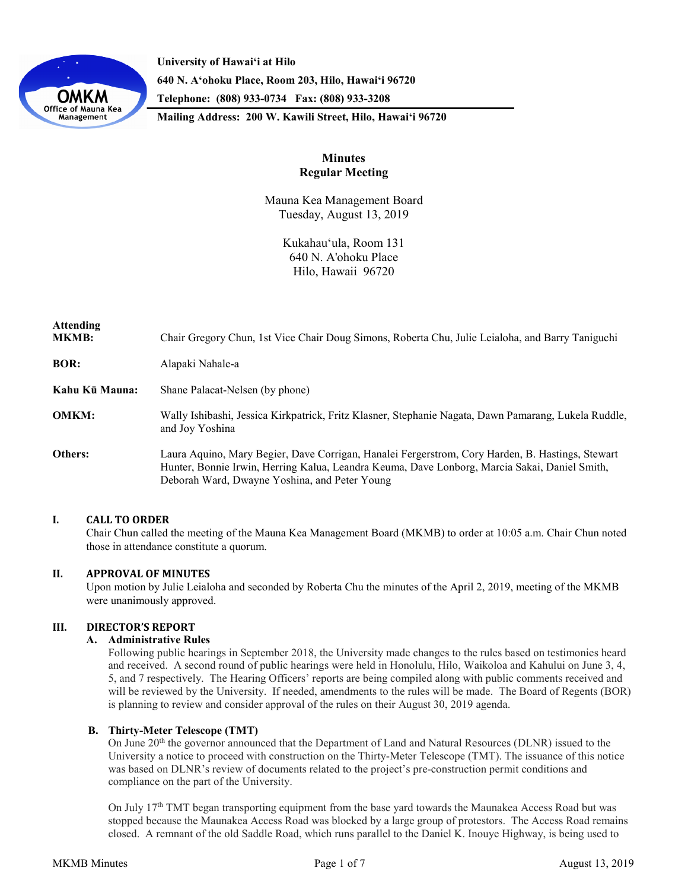

**University of Hawaiʻi at Hilo 640 N. A'ohoku Place, Room 203, Hilo, Hawai'i 96720 Telephone: (808) 933-0734 Fax: (808) 933-3208**

**Mailing Address: 200 W. Kawili Street, Hilo, Hawai'i 96720**

# **Minutes Regular Meeting**

Mauna Kea Management Board Tuesday, August 13, 2019

> Kukahauʻula, Room 131 640 N. A'ohoku Place Hilo, Hawaii 96720

| <b>Attending</b><br><b>MKMB:</b> | Chair Gregory Chun, 1st Vice Chair Doug Simons, Roberta Chu, Julie Leialoha, and Barry Taniguchi                                                                                                                                                   |
|----------------------------------|----------------------------------------------------------------------------------------------------------------------------------------------------------------------------------------------------------------------------------------------------|
| <b>BOR:</b>                      | Alapaki Nahale-a                                                                                                                                                                                                                                   |
| Kahu Kū Mauna:                   | Shane Palacat-Nelsen (by phone)                                                                                                                                                                                                                    |
| <b>OMKM:</b>                     | Wally Ishibashi, Jessica Kirkpatrick, Fritz Klasner, Stephanie Nagata, Dawn Pamarang, Lukela Ruddle,<br>and Joy Yoshina                                                                                                                            |
| Others:                          | Laura Aquino, Mary Begier, Dave Corrigan, Hanalei Fergerstrom, Cory Harden, B. Hastings, Stewart<br>Hunter, Bonnie Irwin, Herring Kalua, Leandra Keuma, Dave Lonborg, Marcia Sakai, Daniel Smith,<br>Deborah Ward, Dwayne Yoshina, and Peter Young |

## **I. CALL TO ORDER**

Chair Chun called the meeting of the Mauna Kea Management Board (MKMB) to order at 10:05 a.m. Chair Chun noted those in attendance constitute a quorum.

## **II. APPROVAL OF MINUTES**

Upon motion by Julie Leialoha and seconded by Roberta Chu the minutes of the April 2, 2019, meeting of the MKMB were unanimously approved.

## **III. DIRECTOR'S REPORT**

## **A. Administrative Rules**

Following public hearings in September 2018, the University made changes to the rules based on testimonies heard and received. A second round of public hearings were held in Honolulu, Hilo, Waikoloa and Kahului on June 3, 4, 5, and 7 respectively. The Hearing Officers' reports are being compiled along with public comments received and will be reviewed by the University. If needed, amendments to the rules will be made. The Board of Regents (BOR) is planning to review and consider approval of the rules on their August 30, 2019 agenda.

## **B. Thirty-Meter Telescope (TMT)**

On June 20th the governor announced that the Department of Land and Natural Resources (DLNR) issued to the University a notice to proceed with construction on the Thirty-Meter Telescope (TMT). The issuance of this notice was based on DLNR's review of documents related to the project's pre-construction permit conditions and compliance on the part of the University.

On July 17<sup>th</sup> TMT began transporting equipment from the base yard towards the Maunakea Access Road but was stopped because the Maunakea Access Road was blocked by a large group of protestors. The Access Road remains closed. A remnant of the old Saddle Road, which runs parallel to the Daniel K. Inouye Highway, is being used to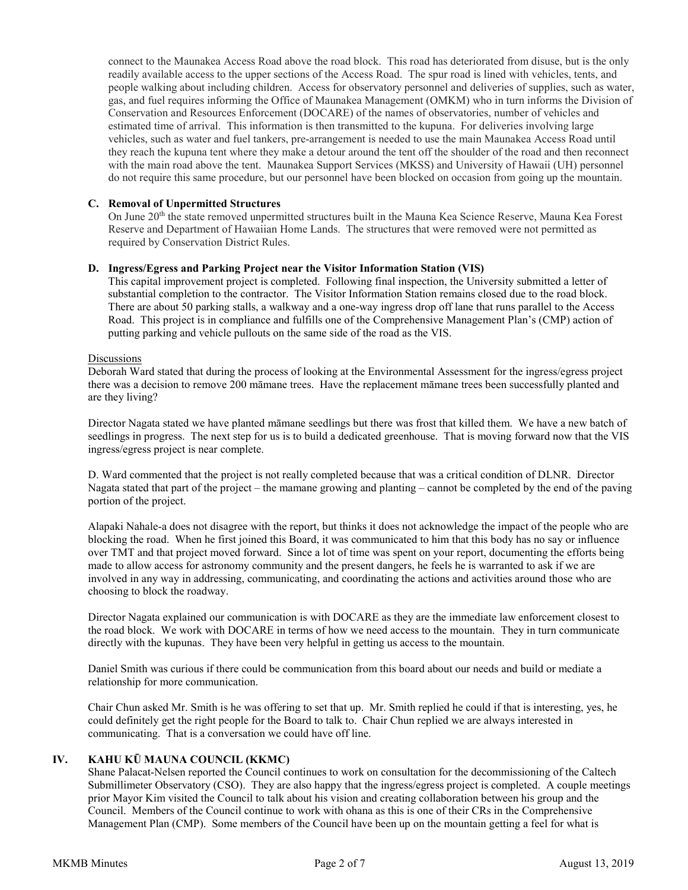connect to the Maunakea Access Road above the road block. This road has deteriorated from disuse, but is the only readily available access to the upper sections of the Access Road. The spur road is lined with vehicles, tents, and people walking about including children. Access for observatory personnel and deliveries of supplies, such as water, gas, and fuel requires informing the Office of Maunakea Management (OMKM) who in turn informs the Division of Conservation and Resources Enforcement (DOCARE) of the names of observatories, number of vehicles and estimated time of arrival. This information is then transmitted to the kupuna. For deliveries involving large vehicles, such as water and fuel tankers, pre-arrangement is needed to use the main Maunakea Access Road until they reach the kupuna tent where they make a detour around the tent off the shoulder of the road and then reconnect with the main road above the tent. Maunakea Support Services (MKSS) and University of Hawaii (UH) personnel do not require this same procedure, but our personnel have been blocked on occasion from going up the mountain.

### **C. Removal of Unpermitted Structures**

On June 20th the state removed unpermitted structures built in the Mauna Kea Science Reserve, Mauna Kea Forest Reserve and Department of Hawaiian Home Lands. The structures that were removed were not permitted as required by Conservation District Rules.

### **D. Ingress/Egress and Parking Project near the Visitor Information Station (VIS)**

This capital improvement project is completed. Following final inspection, the University submitted a letter of substantial completion to the contractor. The Visitor Information Station remains closed due to the road block. There are about 50 parking stalls, a walkway and a one-way ingress drop off lane that runs parallel to the Access Road. This project is in compliance and fulfills one of the Comprehensive Management Plan's (CMP) action of putting parking and vehicle pullouts on the same side of the road as the VIS.

#### Discussions

Deborah Ward stated that during the process of looking at the Environmental Assessment for the ingress/egress project there was a decision to remove 200 māmane trees. Have the replacement māmane trees been successfully planted and are they living?

Director Nagata stated we have planted māmane seedlings but there was frost that killed them. We have a new batch of seedlings in progress. The next step for us is to build a dedicated greenhouse. That is moving forward now that the VIS ingress/egress project is near complete.

D. Ward commented that the project is not really completed because that was a critical condition of DLNR. Director Nagata stated that part of the project – the mamane growing and planting – cannot be completed by the end of the paving portion of the project.

Alapaki Nahale-a does not disagree with the report, but thinks it does not acknowledge the impact of the people who are blocking the road. When he first joined this Board, it was communicated to him that this body has no say or influence over TMT and that project moved forward. Since a lot of time was spent on your report, documenting the efforts being made to allow access for astronomy community and the present dangers, he feels he is warranted to ask if we are involved in any way in addressing, communicating, and coordinating the actions and activities around those who are choosing to block the roadway.

Director Nagata explained our communication is with DOCARE as they are the immediate law enforcement closest to the road block. We work with DOCARE in terms of how we need access to the mountain. They in turn communicate directly with the kupunas. They have been very helpful in getting us access to the mountain.

Daniel Smith was curious if there could be communication from this board about our needs and build or mediate a relationship for more communication.

Chair Chun asked Mr. Smith is he was offering to set that up. Mr. Smith replied he could if that is interesting, yes, he could definitely get the right people for the Board to talk to. Chair Chun replied we are always interested in communicating. That is a conversation we could have off line.

## **IV. KAHU KŪ MAUNA COUNCIL (KKMC)**

Shane Palacat-Nelsen reported the Council continues to work on consultation for the decommissioning of the Caltech Submillimeter Observatory (CSO). They are also happy that the ingress/egress project is completed. A couple meetings prior Mayor Kim visited the Council to talk about his vision and creating collaboration between his group and the Council. Members of the Council continue to work with ohana as this is one of their CRs in the Comprehensive Management Plan (CMP). Some members of the Council have been up on the mountain getting a feel for what is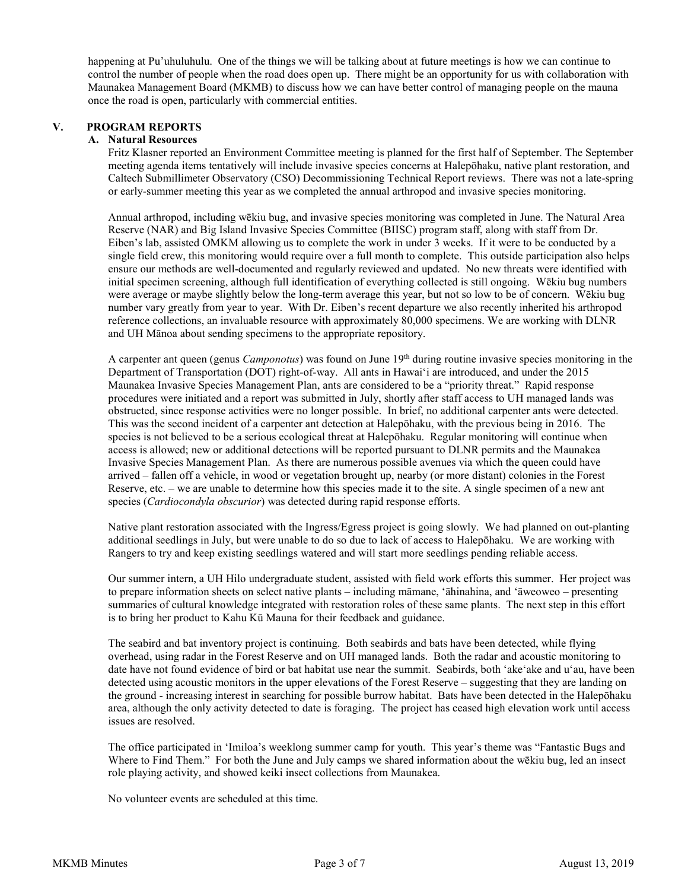happening at Pu'uhuluhulu. One of the things we will be talking about at future meetings is how we can continue to control the number of people when the road does open up. There might be an opportunity for us with collaboration with Maunakea Management Board (MKMB) to discuss how we can have better control of managing people on the mauna once the road is open, particularly with commercial entities.

## **V. PROGRAM REPORTS**

## **A. Natural Resources**

Fritz Klasner reported an Environment Committee meeting is planned for the first half of September. The September meeting agenda items tentatively will include invasive species concerns at Halepōhaku, native plant restoration, and Caltech Submillimeter Observatory (CSO) Decommissioning Technical Report reviews. There was not a late-spring or early-summer meeting this year as we completed the annual arthropod and invasive species monitoring.

Annual arthropod, including wēkiu bug, and invasive species monitoring was completed in June. The Natural Area Reserve (NAR) and Big Island Invasive Species Committee (BIISC) program staff, along with staff from Dr. Eiben's lab, assisted OMKM allowing us to complete the work in under 3 weeks. If it were to be conducted by a single field crew, this monitoring would require over a full month to complete. This outside participation also helps ensure our methods are well-documented and regularly reviewed and updated. No new threats were identified with initial specimen screening, although full identification of everything collected is still ongoing. Wēkiu bug numbers were average or maybe slightly below the long-term average this year, but not so low to be of concern. Wēkiu bug number vary greatly from year to year. With Dr. Eiben's recent departure we also recently inherited his arthropod reference collections, an invaluable resource with approximately 80,000 specimens. We are working with DLNR and UH Mānoa about sending specimens to the appropriate repository.

A carpenter ant queen (genus *Camponotus*) was found on June 19th during routine invasive species monitoring in the Department of Transportation (DOT) right-of-way. All ants in Hawaiʻi are introduced, and under the 2015 Maunakea Invasive Species Management Plan, ants are considered to be a "priority threat." Rapid response procedures were initiated and a report was submitted in July, shortly after staff access to UH managed lands was obstructed, since response activities were no longer possible. In brief, no additional carpenter ants were detected. This was the second incident of a carpenter ant detection at Halepōhaku, with the previous being in 2016. The species is not believed to be a serious ecological threat at Halepōhaku. Regular monitoring will continue when access is allowed; new or additional detections will be reported pursuant to DLNR permits and the Maunakea Invasive Species Management Plan. As there are numerous possible avenues via which the queen could have arrived – fallen off a vehicle, in wood or vegetation brought up, nearby (or more distant) colonies in the Forest Reserve, etc. – we are unable to determine how this species made it to the site. A single specimen of a new ant species (*Cardiocondyla obscurior*) was detected during rapid response efforts.

Native plant restoration associated with the Ingress/Egress project is going slowly. We had planned on out-planting additional seedlings in July, but were unable to do so due to lack of access to Halepōhaku. We are working with Rangers to try and keep existing seedlings watered and will start more seedlings pending reliable access.

Our summer intern, a UH Hilo undergraduate student, assisted with field work efforts this summer. Her project was to prepare information sheets on select native plants – including māmane, ʻāhinahina, and ʻāweoweo – presenting summaries of cultural knowledge integrated with restoration roles of these same plants. The next step in this effort is to bring her product to Kahu Kū Mauna for their feedback and guidance.

The seabird and bat inventory project is continuing. Both seabirds and bats have been detected, while flying overhead, using radar in the Forest Reserve and on UH managed lands. Both the radar and acoustic monitoring to date have not found evidence of bird or bat habitat use near the summit. Seabirds, both ʻakeʻake and uʻau, have been detected using acoustic monitors in the upper elevations of the Forest Reserve – suggesting that they are landing on the ground - increasing interest in searching for possible burrow habitat. Bats have been detected in the Halepōhaku area, although the only activity detected to date is foraging. The project has ceased high elevation work until access issues are resolved.

The office participated in ʻImiloa's weeklong summer camp for youth. This year's theme was "Fantastic Bugs and Where to Find Them." For both the June and July camps we shared information about the wēkiu bug, led an insect role playing activity, and showed keiki insect collections from Maunakea.

No volunteer events are scheduled at this time.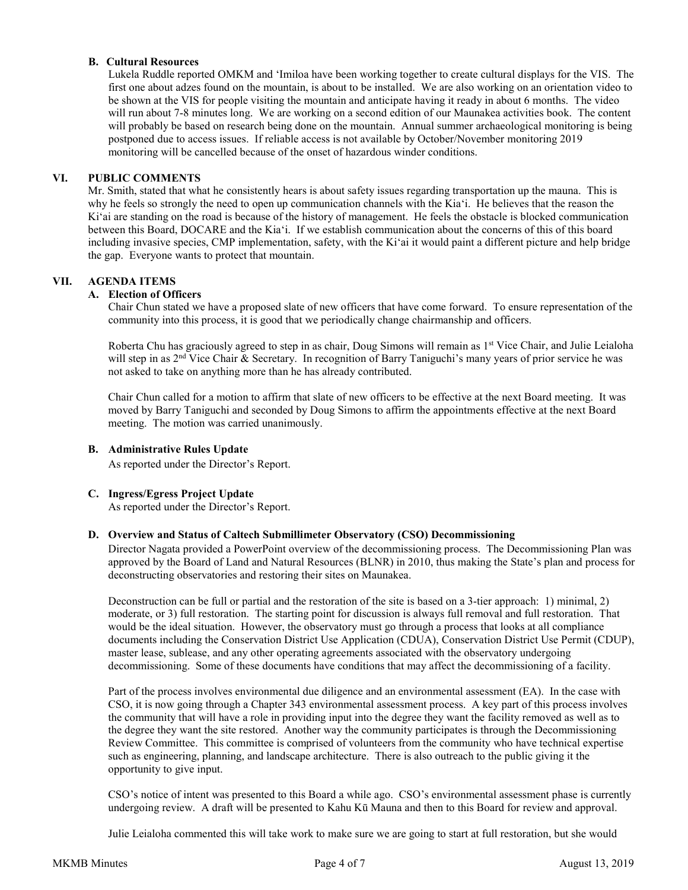## **B. Cultural Resources**

Lukela Ruddle reported OMKM and 'Imiloa have been working together to create cultural displays for the VIS. The first one about adzes found on the mountain, is about to be installed. We are also working on an orientation video to be shown at the VIS for people visiting the mountain and anticipate having it ready in about 6 months. The video will run about 7-8 minutes long. We are working on a second edition of our Maunakea activities book. The content will probably be based on research being done on the mountain. Annual summer archaeological monitoring is being postponed due to access issues. If reliable access is not available by October/November monitoring 2019 monitoring will be cancelled because of the onset of hazardous winder conditions.

### **VI. PUBLIC COMMENTS**

Mr. Smith, stated that what he consistently hears is about safety issues regarding transportation up the mauna. This is why he feels so strongly the need to open up communication channels with the Kia'i. He believes that the reason the Ki'ai are standing on the road is because of the history of management. He feels the obstacle is blocked communication between this Board, DOCARE and the Kia'i. If we establish communication about the concerns of this of this board including invasive species, CMP implementation, safety, with the Ki'ai it would paint a different picture and help bridge the gap. Everyone wants to protect that mountain.

## **VII. AGENDA ITEMS**

### **A. Election of Officers**

Chair Chun stated we have a proposed slate of new officers that have come forward. To ensure representation of the community into this process, it is good that we periodically change chairmanship and officers.

Roberta Chu has graciously agreed to step in as chair, Doug Simons will remain as 1<sup>st</sup> Vice Chair, and Julie Leialoha will step in as 2<sup>nd</sup> Vice Chair & Secretary. In recognition of Barry Taniguchi's many years of prior service he was not asked to take on anything more than he has already contributed.

Chair Chun called for a motion to affirm that slate of new officers to be effective at the next Board meeting. It was moved by Barry Taniguchi and seconded by Doug Simons to affirm the appointments effective at the next Board meeting. The motion was carried unanimously.

### **B. Administrative Rules Update**

As reported under the Director's Report.

## **C. Ingress/Egress Project Update**

As reported under the Director's Report.

#### **D. Overview and Status of Caltech Submillimeter Observatory (CSO) Decommissioning**

Director Nagata provided a PowerPoint overview of the decommissioning process. The Decommissioning Plan was approved by the Board of Land and Natural Resources (BLNR) in 2010, thus making the State's plan and process for deconstructing observatories and restoring their sites on Maunakea.

Deconstruction can be full or partial and the restoration of the site is based on a 3-tier approach: 1) minimal, 2) moderate, or 3) full restoration. The starting point for discussion is always full removal and full restoration. That would be the ideal situation. However, the observatory must go through a process that looks at all compliance documents including the Conservation District Use Application (CDUA), Conservation District Use Permit (CDUP), master lease, sublease, and any other operating agreements associated with the observatory undergoing decommissioning. Some of these documents have conditions that may affect the decommissioning of a facility.

Part of the process involves environmental due diligence and an environmental assessment (EA). In the case with CSO, it is now going through a Chapter 343 environmental assessment process. A key part of this process involves the community that will have a role in providing input into the degree they want the facility removed as well as to the degree they want the site restored. Another way the community participates is through the Decommissioning Review Committee. This committee is comprised of volunteers from the community who have technical expertise such as engineering, planning, and landscape architecture. There is also outreach to the public giving it the opportunity to give input.

CSO's notice of intent was presented to this Board a while ago. CSO's environmental assessment phase is currently undergoing review. A draft will be presented to Kahu Kū Mauna and then to this Board for review and approval.

Julie Leialoha commented this will take work to make sure we are going to start at full restoration, but she would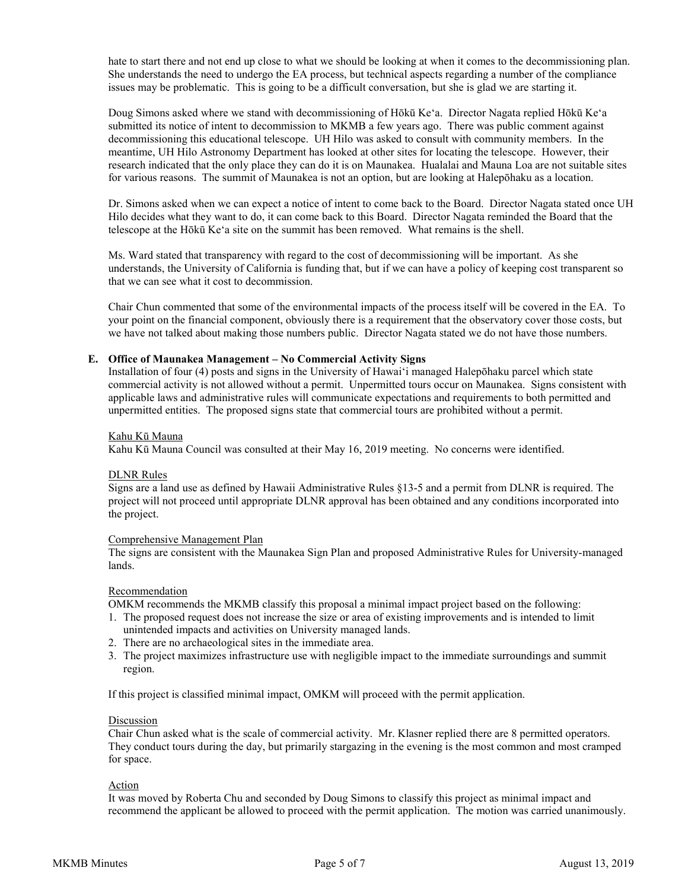hate to start there and not end up close to what we should be looking at when it comes to the decommissioning plan. She understands the need to undergo the EA process, but technical aspects regarding a number of the compliance issues may be problematic. This is going to be a difficult conversation, but she is glad we are starting it.

Doug Simons asked where we stand with decommissioning of Hōkū Ke'a. Director Nagata replied Hōkū Ke'a submitted its notice of intent to decommission to MKMB a few years ago. There was public comment against decommissioning this educational telescope. UH Hilo was asked to consult with community members. In the meantime, UH Hilo Astronomy Department has looked at other sites for locating the telescope. However, their research indicated that the only place they can do it is on Maunakea. Hualalai and Mauna Loa are not suitable sites for various reasons. The summit of Maunakea is not an option, but are looking at Halepōhaku as a location.

Dr. Simons asked when we can expect a notice of intent to come back to the Board. Director Nagata stated once UH Hilo decides what they want to do, it can come back to this Board. Director Nagata reminded the Board that the telescope at the Hōkū Ke'a site on the summit has been removed. What remains is the shell.

Ms. Ward stated that transparency with regard to the cost of decommissioning will be important. As she understands, the University of California is funding that, but if we can have a policy of keeping cost transparent so that we can see what it cost to decommission.

Chair Chun commented that some of the environmental impacts of the process itself will be covered in the EA. To your point on the financial component, obviously there is a requirement that the observatory cover those costs, but we have not talked about making those numbers public. Director Nagata stated we do not have those numbers.

### **E. Office of Maunakea Management – No Commercial Activity Signs**

Installation of four (4) posts and signs in the University of Hawaiʻi managed Halepōhaku parcel which state commercial activity is not allowed without a permit. Unpermitted tours occur on Maunakea. Signs consistent with applicable laws and administrative rules will communicate expectations and requirements to both permitted and unpermitted entities. The proposed signs state that commercial tours are prohibited without a permit.

#### Kahu Kū Mauna

Kahu Kū Mauna Council was consulted at their May 16, 2019 meeting. No concerns were identified.

#### DLNR Rules

Signs are a land use as defined by Hawaii Administrative Rules §13-5 and a permit from DLNR is required. The project will not proceed until appropriate DLNR approval has been obtained and any conditions incorporated into the project.

### Comprehensive Management Plan

The signs are consistent with the Maunakea Sign Plan and proposed Administrative Rules for University-managed lands.

#### Recommendation

OMKM recommends the MKMB classify this proposal a minimal impact project based on the following:

- 1. The proposed request does not increase the size or area of existing improvements and is intended to limit
- unintended impacts and activities on University managed lands.
- 2. There are no archaeological sites in the immediate area.
- 3. The project maximizes infrastructure use with negligible impact to the immediate surroundings and summit region.

If this project is classified minimal impact, OMKM will proceed with the permit application.

#### Discussion

Chair Chun asked what is the scale of commercial activity. Mr. Klasner replied there are 8 permitted operators. They conduct tours during the day, but primarily stargazing in the evening is the most common and most cramped for space.

#### Action

It was moved by Roberta Chu and seconded by Doug Simons to classify this project as minimal impact and recommend the applicant be allowed to proceed with the permit application. The motion was carried unanimously.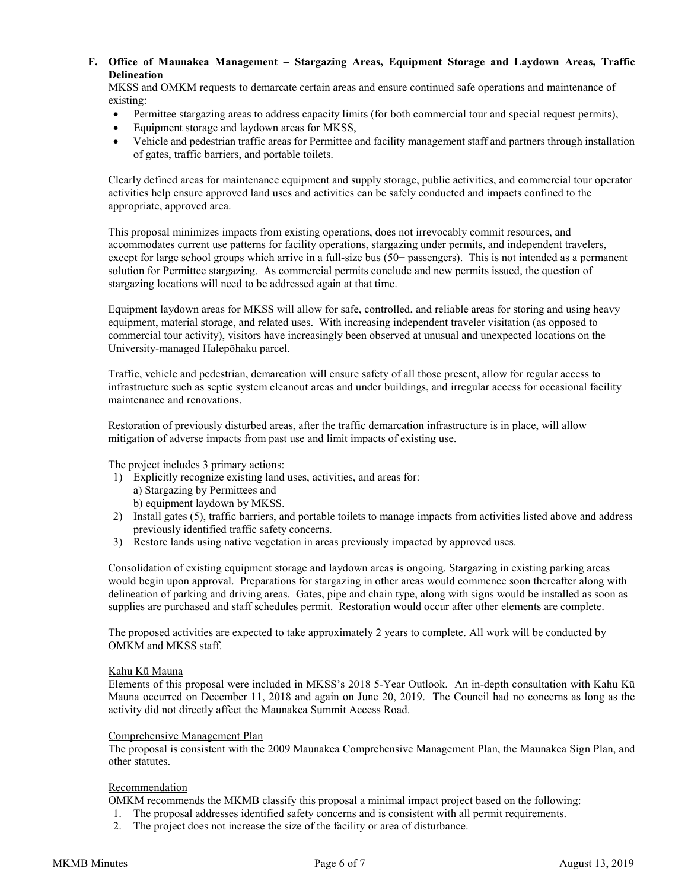**F. Office of Maunakea Management – Stargazing Areas, Equipment Storage and Laydown Areas, Traffic Delineation**

MKSS and OMKM requests to demarcate certain areas and ensure continued safe operations and maintenance of existing:

- Permittee stargazing areas to address capacity limits (for both commercial tour and special request permits),
- Equipment storage and laydown areas for MKSS,
- Vehicle and pedestrian traffic areas for Permittee and facility management staff and partners through installation of gates, traffic barriers, and portable toilets.

Clearly defined areas for maintenance equipment and supply storage, public activities, and commercial tour operator activities help ensure approved land uses and activities can be safely conducted and impacts confined to the appropriate, approved area.

This proposal minimizes impacts from existing operations, does not irrevocably commit resources, and accommodates current use patterns for facility operations, stargazing under permits, and independent travelers, except for large school groups which arrive in a full-size bus (50+ passengers). This is not intended as a permanent solution for Permittee stargazing. As commercial permits conclude and new permits issued, the question of stargazing locations will need to be addressed again at that time.

Equipment laydown areas for MKSS will allow for safe, controlled, and reliable areas for storing and using heavy equipment, material storage, and related uses. With increasing independent traveler visitation (as opposed to commercial tour activity), visitors have increasingly been observed at unusual and unexpected locations on the University-managed Halepōhaku parcel.

Traffic, vehicle and pedestrian, demarcation will ensure safety of all those present, allow for regular access to infrastructure such as septic system cleanout areas and under buildings, and irregular access for occasional facility maintenance and renovations.

Restoration of previously disturbed areas, after the traffic demarcation infrastructure is in place, will allow mitigation of adverse impacts from past use and limit impacts of existing use.

The project includes 3 primary actions:

- 1) Explicitly recognize existing land uses, activities, and areas for: a) Stargazing by Permittees and b) equipment laydown by MKSS.
- 2) Install gates (5), traffic barriers, and portable toilets to manage impacts from activities listed above and address previously identified traffic safety concerns.
- 3) Restore lands using native vegetation in areas previously impacted by approved uses.

Consolidation of existing equipment storage and laydown areas is ongoing. Stargazing in existing parking areas would begin upon approval. Preparations for stargazing in other areas would commence soon thereafter along with delineation of parking and driving areas. Gates, pipe and chain type, along with signs would be installed as soon as supplies are purchased and staff schedules permit. Restoration would occur after other elements are complete.

The proposed activities are expected to take approximately 2 years to complete. All work will be conducted by OMKM and MKSS staff.

## Kahu Kū Mauna

Elements of this proposal were included in MKSS's 2018 5-Year Outlook. An in-depth consultation with Kahu Kū Mauna occurred on December 11, 2018 and again on June 20, 2019. The Council had no concerns as long as the activity did not directly affect the Maunakea Summit Access Road.

### Comprehensive Management Plan

The proposal is consistent with the 2009 Maunakea Comprehensive Management Plan, the Maunakea Sign Plan, and other statutes.

#### Recommendation

OMKM recommends the MKMB classify this proposal a minimal impact project based on the following:

- 1. The proposal addresses identified safety concerns and is consistent with all permit requirements.
- 2. The project does not increase the size of the facility or area of disturbance.